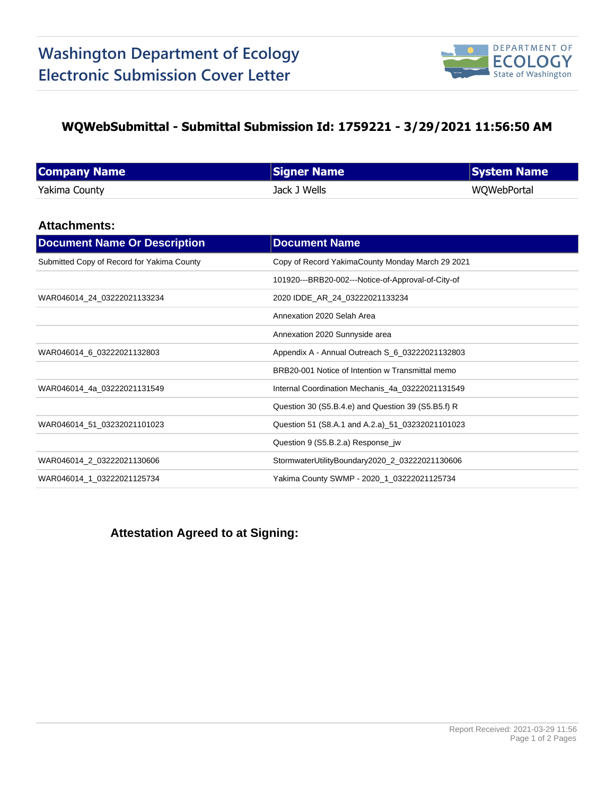

## **WQWebSubmittal - Submittal Submission Id: 1759221 - 3/29/2021 11:56:50 AM**

| <b>Company Name</b> | <b>Signer Name</b> | <b>System Name</b> |
|---------------------|--------------------|--------------------|
| Yakima County       | Jack J Wells       | WQWebPortal        |

### **Attachments:**

| <b>Document Name Or Description</b>        | <b>Document Name</b>                               |
|--------------------------------------------|----------------------------------------------------|
| Submitted Copy of Record for Yakima County | Copy of Record YakimaCounty Monday March 29 2021   |
|                                            | 101920---BRB20-002---Notice-of-Approval-of-City-of |
| WAR046014_24_03222021133234                | 2020 IDDE_AR_24_03222021133234                     |
|                                            | Annexation 2020 Selah Area                         |
|                                            | Annexation 2020 Sunnyside area                     |
| WAR046014_6_03222021132803                 | Appendix A - Annual Outreach S_6_03222021132803    |
|                                            | BRB20-001 Notice of Intention w Transmittal memo   |
| WAR046014 4a 03222021131549                | Internal Coordination Mechanis_4a_03222021131549   |
|                                            | Question 30 (S5.B.4.e) and Question 39 (S5.B5.f) R |
| WAR046014 51 03232021101023                | Question 51 (S8.A.1 and A.2.a) 51 03232021101023   |
|                                            | Question 9 (S5.B.2.a) Response_jw                  |
| WAR046014_2_03222021130606                 | StormwaterUtilityBoundary2020_2_03222021130606     |
| WAR046014 1 03222021125734                 | Yakima County SWMP - 2020_1_03222021125734         |

# **Attestation Agreed to at Signing:**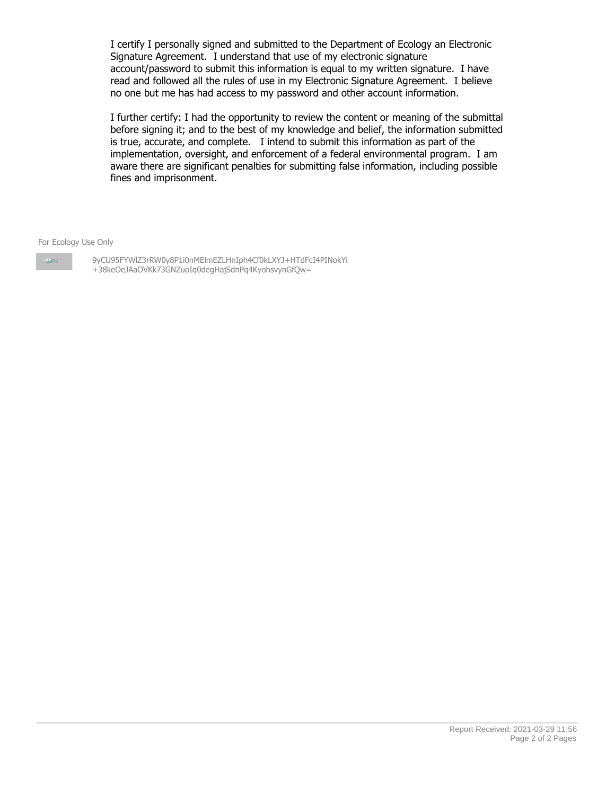I certify I personally signed and submitted to the Department of Ecology an Electronic Signature Agreement. I understand that use of my electronic signature account/password to submit this information is equal to my written signature. I have read and followed all the rules of use in my Electronic Signature Agreement. I believe no one but me has had access to my password and other account information.

I further certify: I had the opportunity to review the content or meaning of the submittal before signing it; and to the best of my knowledge and belief, the information submitted is true, accurate, and complete. I intend to submit this information as part of the implementation, oversight, and enforcement of a federal environmental program. I am aware there are significant penalties for submitting false information, including possible fines and imprisonment.

For Ecology Use Only

**Company** 

9yCU95FYWlZ3rRW0y8P1i0nMElmEZLHnIph4Cf0kLXYJ+HTdFcI4PINokYi +38keOeJAaOVKk73GNZuoIq0degHajSdnPq4KyohsvynGfQw=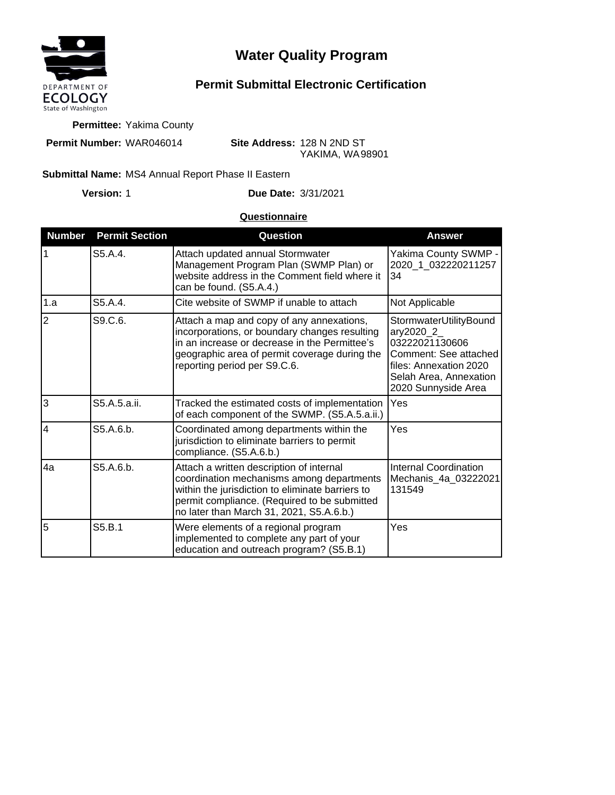

# **Water Quality Program**

# **Permit Submittal Electronic Certification**

**Permittee:** Yakima County

**Permit Number:** WAR046014

**Site Address:** 128 N 2ND ST YAKIMA, WA 98901

#### Submittal Name: MS4 Annual Report Phase II Eastern

**Version:**

1 **Due Date:** 3/31/2021

### **Questionnaire**

| <b>Number</b>  | <b>Permit Section</b>         | Question                                                                                                                                                                                                                              | <b>Answer</b>                                                                                                                                              |
|----------------|-------------------------------|---------------------------------------------------------------------------------------------------------------------------------------------------------------------------------------------------------------------------------------|------------------------------------------------------------------------------------------------------------------------------------------------------------|
|                | S5.A.4.                       | Attach updated annual Stormwater<br>Management Program Plan (SWMP Plan) or<br>website address in the Comment field where it<br>can be found. (S5.A.4.)                                                                                | Yakima County SWMP -<br>2020 1 032220211257<br>34                                                                                                          |
| 1.a            | S <sub>5</sub> A <sub>4</sub> | Cite website of SWMP if unable to attach                                                                                                                                                                                              | Not Applicable                                                                                                                                             |
| $\overline{2}$ | S9.C.6.                       | Attach a map and copy of any annexations,<br>incorporations, or boundary changes resulting<br>in an increase or decrease in the Permittee's<br>geographic area of permit coverage during the<br>reporting period per S9.C.6.          | StormwaterUtilityBound<br>ary2020_2_<br>03222021130606<br>Comment: See attached<br>files: Annexation 2020<br>Selah Area, Annexation<br>2020 Sunnyside Area |
| 3              | S5.A.5.a.ii.                  | Tracked the estimated costs of implementation<br>of each component of the SWMP. (S5.A.5.a.ii.)                                                                                                                                        | Yes                                                                                                                                                        |
| $\overline{4}$ | S5.A.6.b.                     | Coordinated among departments within the<br>jurisdiction to eliminate barriers to permit<br>compliance. (S5.A.6.b.)                                                                                                                   | Yes                                                                                                                                                        |
| 4a             | S5.A.6.b.                     | Attach a written description of internal<br>coordination mechanisms among departments<br>within the jurisdiction to eliminate barriers to<br>permit compliance. (Required to be submitted<br>no later than March 31, 2021, S5.A.6.b.) | <b>Internal Coordination</b><br>Mechanis_4a_03222021<br>131549                                                                                             |
| 5              | S5.B.1                        | Were elements of a regional program<br>implemented to complete any part of your<br>education and outreach program? (S5.B.1)                                                                                                           | Yes                                                                                                                                                        |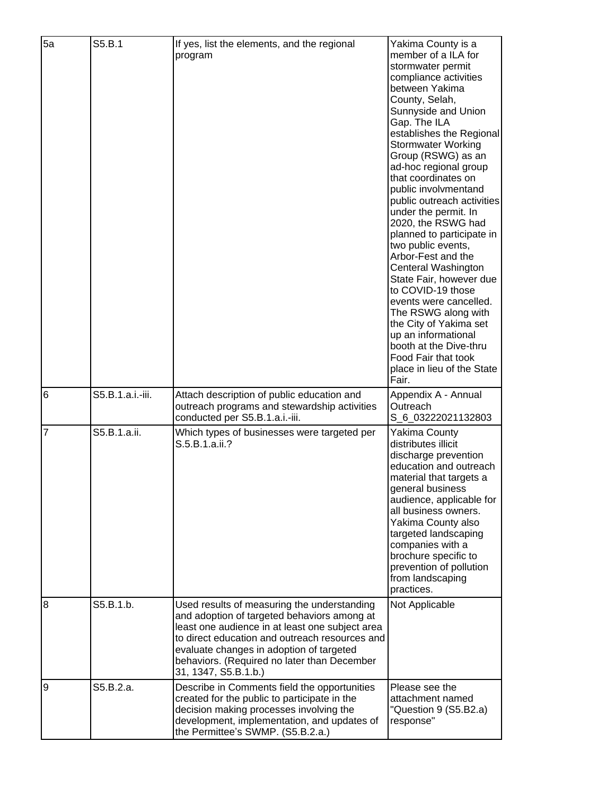| 5a             | S5.B.1           | If yes, list the elements, and the regional<br>program                                                                                                                                                                                                                                                             | Yakima County is a<br>member of a ILA for<br>stormwater permit<br>compliance activities<br>between Yakima<br>County, Selah,<br>Sunnyside and Union<br>Gap. The ILA<br>establishes the Regional<br><b>Stormwater Working</b><br>Group (RSWG) as an<br>ad-hoc regional group<br>that coordinates on<br>public involvmentand<br>public outreach activities<br>under the permit. In<br>2020, the RSWG had<br>planned to participate in<br>two public events,<br>Arbor-Fest and the<br>Centeral Washington<br>State Fair, however due<br>to COVID-19 those<br>events were cancelled.<br>The RSWG along with<br>the City of Yakima set<br>up an informational<br>booth at the Dive-thru<br>Food Fair that took<br>place in lieu of the State<br>Fair. |
|----------------|------------------|--------------------------------------------------------------------------------------------------------------------------------------------------------------------------------------------------------------------------------------------------------------------------------------------------------------------|-------------------------------------------------------------------------------------------------------------------------------------------------------------------------------------------------------------------------------------------------------------------------------------------------------------------------------------------------------------------------------------------------------------------------------------------------------------------------------------------------------------------------------------------------------------------------------------------------------------------------------------------------------------------------------------------------------------------------------------------------|
| 6              | S5.B.1.a.i.-iii. | Attach description of public education and<br>outreach programs and stewardship activities<br>conducted per S5.B.1.a.i.-iii.                                                                                                                                                                                       | Appendix A - Annual<br>Outreach<br>S_6_03222021132803                                                                                                                                                                                                                                                                                                                                                                                                                                                                                                                                                                                                                                                                                           |
| $\overline{7}$ | S5.B.1.a.ii.     | Which types of businesses were targeted per<br>S.5.B.1.a.ii.?                                                                                                                                                                                                                                                      | <b>Yakima County</b><br>distributes illicit<br>discharge prevention<br>education and outreach<br>material that targets a<br>general business<br>audience, applicable for<br>all business owners.<br>Yakima County also<br>targeted landscaping<br>companies with a<br>brochure specific to<br>prevention of pollution<br>from landscaping<br>practices.                                                                                                                                                                                                                                                                                                                                                                                         |
| $\overline{8}$ | S5.B.1.b.        | Used results of measuring the understanding<br>and adoption of targeted behaviors among at<br>least one audience in at least one subject area<br>to direct education and outreach resources and<br>evaluate changes in adoption of targeted<br>behaviors. (Required no later than December<br>31, 1347, S5.B.1.b.) | Not Applicable                                                                                                                                                                                                                                                                                                                                                                                                                                                                                                                                                                                                                                                                                                                                  |
| 9              | S5.B.2.a.        | Describe in Comments field the opportunities<br>created for the public to participate in the<br>decision making processes involving the<br>development, implementation, and updates of<br>the Permittee's SWMP. (S5.B.2.a.)                                                                                        | Please see the<br>attachment named<br>"Question 9 (S5.B2.a)<br>response"                                                                                                                                                                                                                                                                                                                                                                                                                                                                                                                                                                                                                                                                        |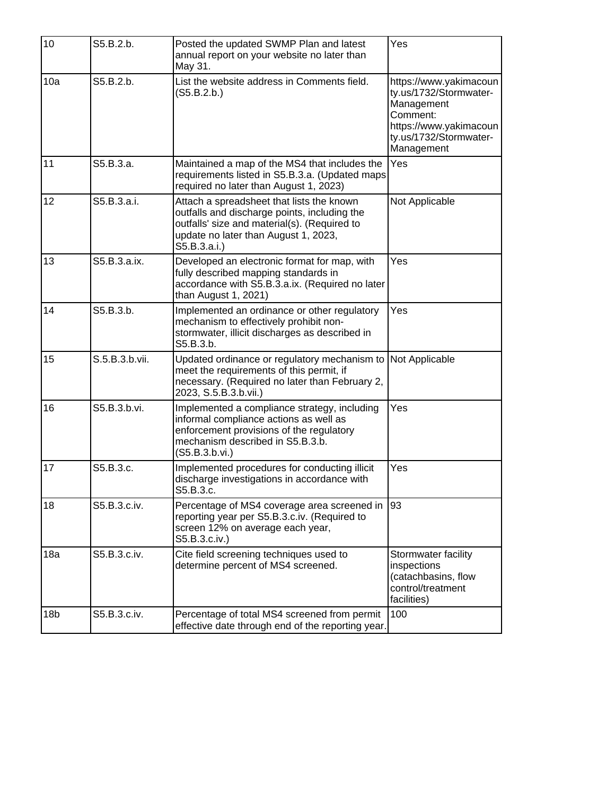| 10              | S5.B.2.b.      | Posted the updated SWMP Plan and latest<br>annual report on your website no later than<br>May 31.                                                                                                 | Yes                                                                                                                                          |
|-----------------|----------------|---------------------------------------------------------------------------------------------------------------------------------------------------------------------------------------------------|----------------------------------------------------------------------------------------------------------------------------------------------|
| 10a             | S5.B.2.b.      | List the website address in Comments field.<br>(S5.B.2.b.)                                                                                                                                        | https://www.yakimacoun<br>ty.us/1732/Stormwater-<br>Management<br>Comment:<br>https://www.yakimacoun<br>ty.us/1732/Stormwater-<br>Management |
| 11              | S5.B.3.a.      | Maintained a map of the MS4 that includes the<br>requirements listed in S5.B.3.a. (Updated maps<br>required no later than August 1, 2023)                                                         | Yes                                                                                                                                          |
| 12              | S5.B.3.a.i.    | Attach a spreadsheet that lists the known<br>outfalls and discharge points, including the<br>outfalls' size and material(s). (Required to<br>update no later than August 1, 2023,<br>S5.B.3.a.i.) | Not Applicable                                                                                                                               |
| 13              | S5.B.3.a.ix.   | Developed an electronic format for map, with<br>fully described mapping standards in<br>accordance with S5.B.3.a.ix. (Required no later<br>than August 1, 2021)                                   | Yes                                                                                                                                          |
| 14              | S5.B.3.b.      | Implemented an ordinance or other regulatory<br>mechanism to effectively prohibit non-<br>stormwater, illicit discharges as described in<br>S5.B.3.b.                                             | Yes                                                                                                                                          |
| 15              | S.5.B.3.b.vii. | Updated ordinance or regulatory mechanism to<br>meet the requirements of this permit, if<br>necessary. (Required no later than February 2,<br>2023, S.5.B.3.b.vii.)                               | Not Applicable                                                                                                                               |
| 16              | S5.B.3.b.vi.   | Implemented a compliance strategy, including<br>informal compliance actions as well as<br>enforcement provisions of the regulatory<br>mechanism described in S5.B.3.b.<br>(S5.B.3.b.vi.)          | Yes                                                                                                                                          |
| 17              | S5.B.3.c.      | Implemented procedures for conducting illicit<br>discharge investigations in accordance with<br>S5.B.3.c.                                                                                         | Yes                                                                                                                                          |
| 18              | S5.B.3.c.iv.   | Percentage of MS4 coverage area screened in<br>reporting year per S5.B.3.c.iv. (Required to<br>screen 12% on average each year,<br>S5.B.3.c.iv.)                                                  | 93                                                                                                                                           |
| 18a             | S5.B.3.c.iv.   | Cite field screening techniques used to<br>determine percent of MS4 screened.                                                                                                                     | Stormwater facility<br>inspections<br>(catachbasins, flow<br>control/treatment<br>facilities)                                                |
| 18 <sub>b</sub> | S5.B.3.c.iv.   | Percentage of total MS4 screened from permit<br>effective date through end of the reporting year.                                                                                                 | 100                                                                                                                                          |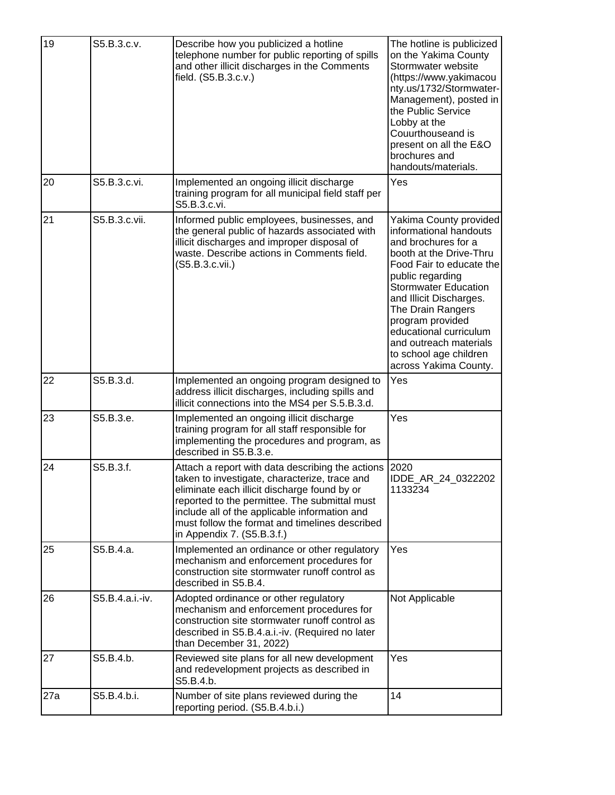| 19  | S5.B.3.c.v.     | Describe how you publicized a hotline<br>telephone number for public reporting of spills<br>and other illicit discharges in the Comments<br>field. (S5.B.3.c.v.)                                                                                                                                                                    | The hotline is publicized<br>on the Yakima County<br>Stormwater website<br>(https://www.yakimacou<br>nty.us/1732/Stormwater-<br>Management), posted in<br>the Public Service<br>Lobby at the<br>Couurthouseand is<br>present on all the E&O<br>brochures and<br>handouts/materials.                                                                          |
|-----|-----------------|-------------------------------------------------------------------------------------------------------------------------------------------------------------------------------------------------------------------------------------------------------------------------------------------------------------------------------------|--------------------------------------------------------------------------------------------------------------------------------------------------------------------------------------------------------------------------------------------------------------------------------------------------------------------------------------------------------------|
| 20  | S5.B.3.c.vi.    | Implemented an ongoing illicit discharge<br>training program for all municipal field staff per<br>S5.B.3.c.vi.                                                                                                                                                                                                                      | Yes                                                                                                                                                                                                                                                                                                                                                          |
| 21  | S5.B.3.c.vii.   | Informed public employees, businesses, and<br>the general public of hazards associated with<br>illicit discharges and improper disposal of<br>waste. Describe actions in Comments field.<br>(S5.B.3.c.vii.)                                                                                                                         | Yakima County provided<br>informational handouts<br>and brochures for a<br>booth at the Drive-Thru<br>Food Fair to educate the<br>public regarding<br><b>Stormwater Education</b><br>and Illicit Discharges.<br>The Drain Rangers<br>program provided<br>educational curriculum<br>and outreach materials<br>to school age children<br>across Yakima County. |
| 22  | S5.B.3.d.       | Implemented an ongoing program designed to<br>address illicit discharges, including spills and<br>illicit connections into the MS4 per S.5.B.3.d.                                                                                                                                                                                   | Yes                                                                                                                                                                                                                                                                                                                                                          |
| 23  | S5.B.3.e.       | Implemented an ongoing illicit discharge<br>training program for all staff responsible for<br>implementing the procedures and program, as<br>described in S5.B.3.e.                                                                                                                                                                 | Yes                                                                                                                                                                                                                                                                                                                                                          |
| 24  | S5.B.3.f.       | Attach a report with data describing the actions<br>taken to investigate, characterize, trace and<br>eliminate each illicit discharge found by or<br>reported to the permittee. The submittal must<br>include all of the applicable information and<br>must follow the format and timelines described<br>in Appendix 7. (S5.B.3.f.) | 2020<br>IDDE_AR_24_0322202<br>1133234                                                                                                                                                                                                                                                                                                                        |
| 25  | S5.B.4.a.       | Implemented an ordinance or other regulatory<br>mechanism and enforcement procedures for<br>construction site stormwater runoff control as<br>described in S5.B.4.                                                                                                                                                                  | Yes                                                                                                                                                                                                                                                                                                                                                          |
| 26  | S5.B.4.a.i.-iv. | Adopted ordinance or other regulatory<br>mechanism and enforcement procedures for<br>construction site stormwater runoff control as<br>described in S5.B.4.a.i.-iv. (Required no later<br>than December 31, 2022)                                                                                                                   | Not Applicable                                                                                                                                                                                                                                                                                                                                               |
| 27  | S5.B.4.b.       | Reviewed site plans for all new development<br>and redevelopment projects as described in<br>S5.B.4.b.                                                                                                                                                                                                                              | Yes                                                                                                                                                                                                                                                                                                                                                          |
| 27a | S5.B.4.b.i.     | Number of site plans reviewed during the<br>reporting period. (S5.B.4.b.i.)                                                                                                                                                                                                                                                         | 14                                                                                                                                                                                                                                                                                                                                                           |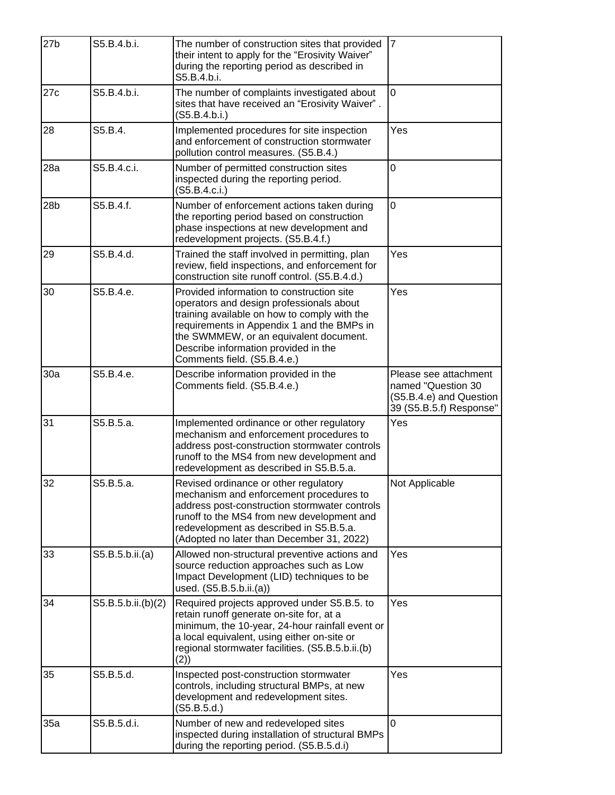| 27 <sub>b</sub> | S5.B.4.b.i.        | The number of construction sites that provided<br>their intent to apply for the "Erosivity Waiver"<br>during the reporting period as described in<br>S5.B.4.b.i.                                                                                                                                     | $\overline{7}$                                                                                    |
|-----------------|--------------------|------------------------------------------------------------------------------------------------------------------------------------------------------------------------------------------------------------------------------------------------------------------------------------------------------|---------------------------------------------------------------------------------------------------|
| 27c             | S5.B.4.b.i.        | The number of complaints investigated about<br>sites that have received an "Erosivity Waiver".<br>(S5.B.4.b.i.)                                                                                                                                                                                      | 0                                                                                                 |
| 28              | S5.B.4.            | Implemented procedures for site inspection<br>and enforcement of construction stormwater<br>pollution control measures. (S5.B.4.)                                                                                                                                                                    | Yes                                                                                               |
| 28a             | S5.B.4.c.i.        | Number of permitted construction sites<br>inspected during the reporting period.<br>(S5.B.4.c.i.)                                                                                                                                                                                                    | $\overline{0}$                                                                                    |
| 28 <sub>b</sub> | S5.B.4.f.          | Number of enforcement actions taken during<br>the reporting period based on construction<br>phase inspections at new development and<br>redevelopment projects. (S5.B.4.f.)                                                                                                                          | $\overline{0}$                                                                                    |
| 29              | S5.B.4.d.          | Trained the staff involved in permitting, plan<br>review, field inspections, and enforcement for<br>construction site runoff control. (S5.B.4.d.)                                                                                                                                                    | Yes                                                                                               |
| 30              | S5.B.4.e.          | Provided information to construction site<br>operators and design professionals about<br>training available on how to comply with the<br>requirements in Appendix 1 and the BMPs in<br>the SWMMEW, or an equivalent document.<br>Describe information provided in the<br>Comments field. (S5.B.4.e.) | Yes                                                                                               |
| 30a             | S5.B.4.e.          | Describe information provided in the<br>Comments field. (S5.B.4.e.)                                                                                                                                                                                                                                  | Please see attachment<br>named "Question 30<br>(S5.B.4.e) and Question<br>39 (S5.B.5.f) Response" |
| 31              | S5.B.5.a.          | Implemented ordinance or other regulatory<br>mechanism and enforcement procedures to<br>address post-construction stormwater controls<br>runoff to the MS4 from new development and<br>redevelopment as described in S5.B.5.a.                                                                       | Yes                                                                                               |
| 32              | S5.B.5.a.          | Revised ordinance or other regulatory<br>mechanism and enforcement procedures to<br>address post-construction stormwater controls<br>runoff to the MS4 from new development and<br>redevelopment as described in S5.B.5.a.<br>(Adopted no later than December 31, 2022)                              | Not Applicable                                                                                    |
| 33              | S5.B.5.b.ii.(a)    | Allowed non-structural preventive actions and<br>source reduction approaches such as Low<br>Impact Development (LID) techniques to be<br>used. (S5.B.5.b.ii.(a))                                                                                                                                     | Yes                                                                                               |
| 34              | S5.B.5.b.ii.(b)(2) | Required projects approved under S5.B.5. to<br>retain runoff generate on-site for, at a<br>minimum, the 10-year, 24-hour rainfall event or<br>a local equivalent, using either on-site or<br>regional stormwater facilities. (S5.B.5.b.ii.(b)<br>(2)                                                 | Yes                                                                                               |
| 35              | S5.B.5.d.          | Inspected post-construction stormwater<br>controls, including structural BMPs, at new<br>development and redevelopment sites.<br>(S5.B.5.d.)                                                                                                                                                         | Yes                                                                                               |
| 35a             | S5.B.5.d.i.        | Number of new and redeveloped sites<br>inspected during installation of structural BMPs<br>during the reporting period. (S5.B.5.d.i)                                                                                                                                                                 | 0                                                                                                 |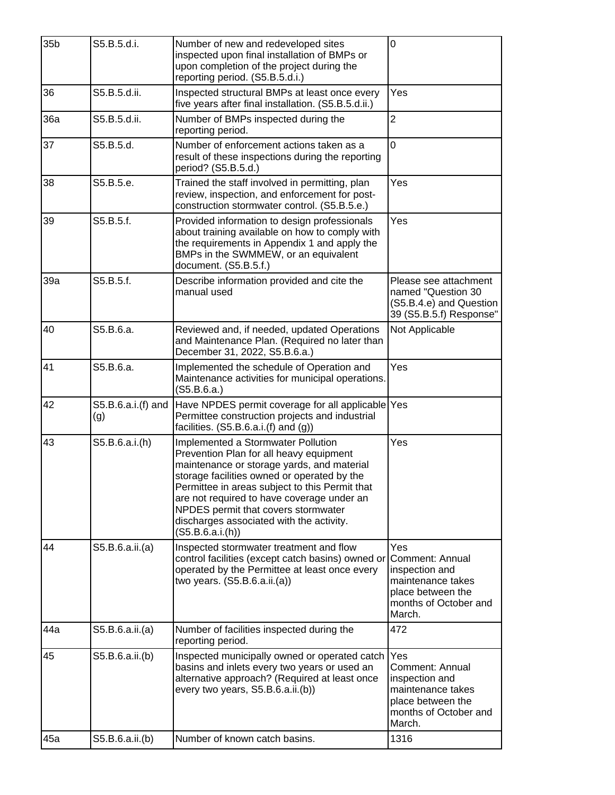| 35 <sub>b</sub> | S5.B.5.d.i.               | Number of new and redeveloped sites<br>inspected upon final installation of BMPs or<br>upon completion of the project during the<br>reporting period. (S5.B.5.d.i.)                                                                                                                                                                                                              | 0                                                                                                                     |
|-----------------|---------------------------|----------------------------------------------------------------------------------------------------------------------------------------------------------------------------------------------------------------------------------------------------------------------------------------------------------------------------------------------------------------------------------|-----------------------------------------------------------------------------------------------------------------------|
| 36              | S5.B.5.d.ii.              | Inspected structural BMPs at least once every<br>five years after final installation. (S5.B.5.d.ii.)                                                                                                                                                                                                                                                                             | Yes                                                                                                                   |
| 36a             | S5.B.5.d.ii.              | Number of BMPs inspected during the<br>reporting period.                                                                                                                                                                                                                                                                                                                         | $\overline{2}$                                                                                                        |
| 37              | S5.B.5.d.                 | Number of enforcement actions taken as a<br>result of these inspections during the reporting<br>period? (S5.B.5.d.)                                                                                                                                                                                                                                                              | 0                                                                                                                     |
| 38              | S5.B.5.e.                 | Trained the staff involved in permitting, plan<br>review, inspection, and enforcement for post-<br>construction stormwater control. (S5.B.5.e.)                                                                                                                                                                                                                                  | Yes                                                                                                                   |
| 39              | S5.B.5.f.                 | Provided information to design professionals<br>about training available on how to comply with<br>the requirements in Appendix 1 and apply the<br>BMPs in the SWMMEW, or an equivalent<br>document. (S5.B.5.f.)                                                                                                                                                                  | Yes                                                                                                                   |
| 39a             | S5.B.5.f.                 | Describe information provided and cite the<br>manual used                                                                                                                                                                                                                                                                                                                        | Please see attachment<br>named "Question 30<br>(S5.B.4.e) and Question<br>39 (S5.B.5.f) Response"                     |
| 40              | S5.B.6.a.                 | Reviewed and, if needed, updated Operations<br>and Maintenance Plan. (Required no later than<br>December 31, 2022, S5.B.6.a.)                                                                                                                                                                                                                                                    | Not Applicable                                                                                                        |
| 41              | S5.B.6.a.                 | Implemented the schedule of Operation and<br>Maintenance activities for municipal operations.<br>(S5.B.6.a.)                                                                                                                                                                                                                                                                     | Yes                                                                                                                   |
| 42              | S5.B.6.a.i.(f) and<br>(g) | Have NPDES permit coverage for all applicable Yes<br>Permittee construction projects and industrial<br>facilities. $(S5.B.6.a.i.(f) and (g))$                                                                                                                                                                                                                                    |                                                                                                                       |
| 43              | S5.B.6.a.i.(h)            | Implemented a Stormwater Pollution<br>Prevention Plan for all heavy equipment<br>maintenance or storage yards, and material<br>storage facilities owned or operated by the<br>Permittee in areas subject to this Permit that<br>are not required to have coverage under an<br>NPDES permit that covers stormwater<br>discharges associated with the activity.<br>(S5.B.6.a.i(h)) | Yes                                                                                                                   |
| 44              | S5.B.6.a.ii.(a)           | Inspected stormwater treatment and flow<br>control facilities (except catch basins) owned or<br>operated by the Permittee at least once every<br>two years. $(S5.B.6.a.ii.(a))$                                                                                                                                                                                                  | Yes<br>Comment: Annual<br>inspection and<br>maintenance takes<br>place between the<br>months of October and<br>March. |
| 44a             | S5.B.6.a.ii.(a)           | Number of facilities inspected during the<br>reporting period.                                                                                                                                                                                                                                                                                                                   | 472                                                                                                                   |
| 45              | S5.B.6.a.ii.(b)           | Inspected municipally owned or operated catch<br>basins and inlets every two years or used an<br>alternative approach? (Required at least once<br>every two years, S5.B.6.a.ii.(b))                                                                                                                                                                                              | Yes<br>Comment: Annual<br>inspection and<br>maintenance takes<br>place between the<br>months of October and<br>March. |
| 45a             | S5.B.6.a.ii.(b)           | Number of known catch basins.                                                                                                                                                                                                                                                                                                                                                    | 1316                                                                                                                  |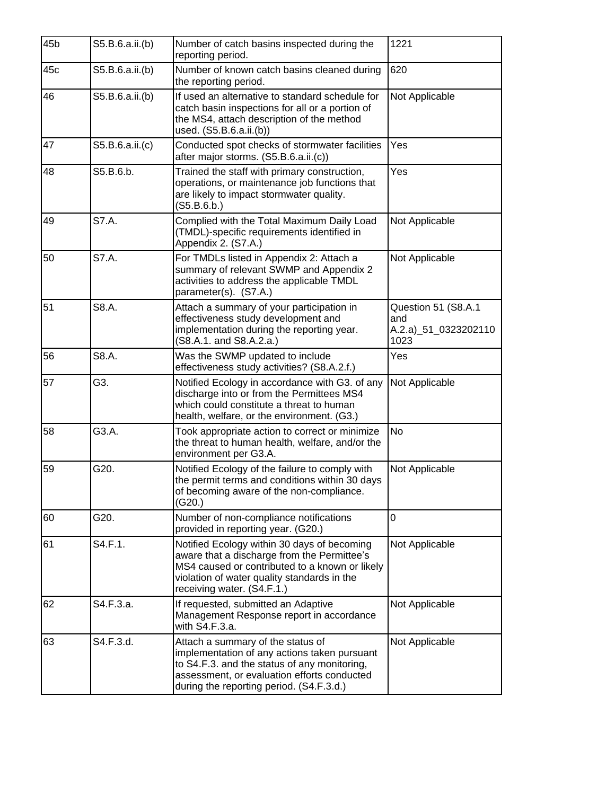| 45b | S5.B.6.a.ii.(b) | Number of catch basins inspected during the<br>reporting period.                                                                                                                                                             | 1221                                                       |
|-----|-----------------|------------------------------------------------------------------------------------------------------------------------------------------------------------------------------------------------------------------------------|------------------------------------------------------------|
| 45c | S5.B.6.a.ii.(b) | Number of known catch basins cleaned during<br>the reporting period.                                                                                                                                                         | 620                                                        |
| 46  | S5.B.6.a.ii.(b) | If used an alternative to standard schedule for<br>catch basin inspections for all or a portion of<br>the MS4, attach description of the method<br>used. (S5.B.6.a.ii.(b))                                                   | Not Applicable                                             |
| 47  | S5.B.6.a.ii.(c) | Conducted spot checks of stormwater facilities<br>after major storms. (S5.B.6.a.ii.(c))                                                                                                                                      | Yes                                                        |
| 48  | S5.B.6.b.       | Trained the staff with primary construction,<br>operations, or maintenance job functions that<br>are likely to impact stormwater quality.<br>(S5.B.6.b.)                                                                     | Yes                                                        |
| 49  | S7.A.           | Complied with the Total Maximum Daily Load<br>(TMDL)-specific requirements identified in<br>Appendix 2. (S7.A.)                                                                                                              | Not Applicable                                             |
| 50  | S7.A.           | For TMDLs listed in Appendix 2: Attach a<br>summary of relevant SWMP and Appendix 2<br>activities to address the applicable TMDL<br>parameter(s). (S7.A.)                                                                    | Not Applicable                                             |
| 51  | S8.A.           | Attach a summary of your participation in<br>effectiveness study development and<br>implementation during the reporting year.<br>(S8.A.1. and S8.A.2.a.)                                                                     | Question 51 (S8.A.1<br>and<br>A.2.a)_51_0323202110<br>1023 |
| 56  | S8.A.           | Was the SWMP updated to include<br>effectiveness study activities? (S8.A.2.f.)                                                                                                                                               | Yes                                                        |
| 57  | G3.             | Notified Ecology in accordance with G3. of any<br>discharge into or from the Permittees MS4<br>which could constitute a threat to human<br>health, welfare, or the environment. (G3.)                                        | Not Applicable                                             |
| 58  | G3.A.           | Took appropriate action to correct or minimize<br>the threat to human health, welfare, and/or the<br>environment per G3.A.                                                                                                   | <b>No</b>                                                  |
| 59  | G20.            | Notified Ecology of the failure to comply with<br>the permit terms and conditions within 30 days<br>of becoming aware of the non-compliance.<br>(G20.)                                                                       | Not Applicable                                             |
| 60  | G20.            | Number of non-compliance notifications<br>provided in reporting year. (G20.)                                                                                                                                                 | 0                                                          |
| 61  | S4.F.1.         | Notified Ecology within 30 days of becoming<br>aware that a discharge from the Permittee's<br>MS4 caused or contributed to a known or likely<br>violation of water quality standards in the<br>receiving water. (S4.F.1.)    | Not Applicable                                             |
| 62  | S4.F.3.a.       | If requested, submitted an Adaptive<br>Management Response report in accordance<br>with S4.F.3.a.                                                                                                                            | Not Applicable                                             |
| 63  | S4.F.3.d.       | Attach a summary of the status of<br>implementation of any actions taken pursuant<br>to S4.F.3. and the status of any monitoring,<br>assessment, or evaluation efforts conducted<br>during the reporting period. (S4.F.3.d.) | Not Applicable                                             |